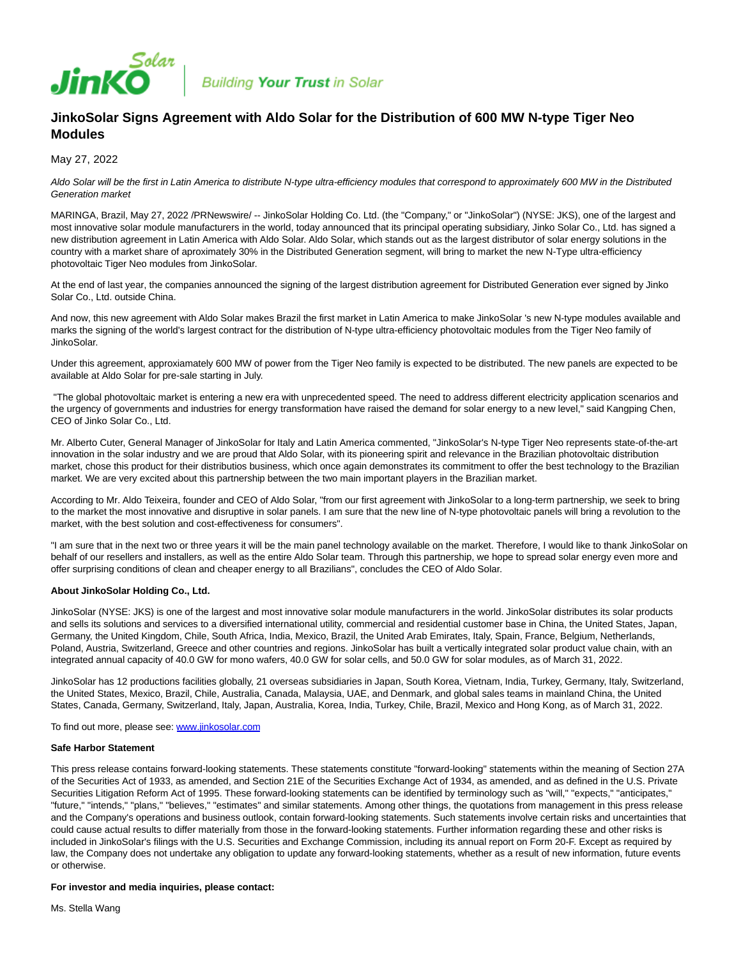

**Building Your Trust in Solar** 

# **JinkoSolar Signs Agreement with Aldo Solar for the Distribution of 600 MW N-type Tiger Neo Modules**

May 27, 2022

Aldo Solar will be the first in Latin America to distribute N-type ultra-efficiency modules that correspond to approximately 600 MW in the Distributed Generation market

MARINGA, Brazil, May 27, 2022 /PRNewswire/ -- JinkoSolar Holding Co. Ltd. (the "Company," or "JinkoSolar") (NYSE: JKS), one of the largest and most innovative solar module manufacturers in the world, today announced that its principal operating subsidiary, Jinko Solar Co., Ltd. has signed a new distribution agreement in Latin America with Aldo Solar. Aldo Solar, which stands out as the largest distributor of solar energy solutions in the country with a market share of aproximately 30% in the Distributed Generation segment, will bring to market the new N-Type ultra-efficiency photovoltaic Tiger Neo modules from JinkoSolar.

At the end of last year, the companies announced the signing of the largest distribution agreement for Distributed Generation ever signed by Jinko Solar Co., Ltd. outside China.

And now, this new agreement with Aldo Solar makes Brazil the first market in Latin America to make JinkoSolar 's new N-type modules available and marks the signing of the world's largest contract for the distribution of N-type ultra-efficiency photovoltaic modules from the Tiger Neo family of JinkoSolar.

Under this agreement, approxiamately 600 MW of power from the Tiger Neo family is expected to be distributed. The new panels are expected to be available at Aldo Solar for pre-sale starting in July.

 "The global photovoltaic market is entering a new era with unprecedented speed. The need to address different electricity application scenarios and the urgency of governments and industries for energy transformation have raised the demand for solar energy to a new level," said Kangping Chen, CEO of Jinko Solar Co., Ltd.

Mr. Alberto Cuter, General Manager of JinkoSolar for Italy and Latin America commented, "JinkoSolar's N-type Tiger Neo represents state-of-the-art innovation in the solar industry and we are proud that Aldo Solar, with its pioneering spirit and relevance in the Brazilian photovoltaic distribution market, chose this product for their distributios business, which once again demonstrates its commitment to offer the best technology to the Brazilian market. We are very excited about this partnership between the two main important players in the Brazilian market.

According to Mr. Aldo Teixeira, founder and CEO of Aldo Solar, "from our first agreement with JinkoSolar to a long-term partnership, we seek to bring to the market the most innovative and disruptive in solar panels. I am sure that the new line of N-type photovoltaic panels will bring a revolution to the market, with the best solution and cost-effectiveness for consumers".

"I am sure that in the next two or three years it will be the main panel technology available on the market. Therefore, I would like to thank JinkoSolar on behalf of our resellers and installers, as well as the entire Aldo Solar team. Through this partnership, we hope to spread solar energy even more and offer surprising conditions of clean and cheaper energy to all Brazilians", concludes the CEO of Aldo Solar.

## **About JinkoSolar Holding Co., Ltd.**

JinkoSolar (NYSE: JKS) is one of the largest and most innovative solar module manufacturers in the world. JinkoSolar distributes its solar products and sells its solutions and services to a diversified international utility, commercial and residential customer base in China, the United States, Japan, Germany, the United Kingdom, Chile, South Africa, India, Mexico, Brazil, the United Arab Emirates, Italy, Spain, France, Belgium, Netherlands, Poland, Austria, Switzerland, Greece and other countries and regions. JinkoSolar has built a vertically integrated solar product value chain, with an integrated annual capacity of 40.0 GW for mono wafers, 40.0 GW for solar cells, and 50.0 GW for solar modules, as of March 31, 2022.

JinkoSolar has 12 productions facilities globally, 21 overseas subsidiaries in Japan, South Korea, Vietnam, India, Turkey, Germany, Italy, Switzerland, the United States, Mexico, Brazil, Chile, Australia, Canada, Malaysia, UAE, and Denmark, and global sales teams in mainland China, the United States, Canada, Germany, Switzerland, Italy, Japan, Australia, Korea, India, Turkey, Chile, Brazil, Mexico and Hong Kong, as of March 31, 2022.

To find out more, please see: [www.jinkosolar.com](http://www.jinkosolar.com/)

#### **Safe Harbor Statement**

This press release contains forward-looking statements. These statements constitute "forward-looking" statements within the meaning of Section 27A of the Securities Act of 1933, as amended, and Section 21E of the Securities Exchange Act of 1934, as amended, and as defined in the U.S. Private Securities Litigation Reform Act of 1995. These forward-looking statements can be identified by terminology such as "will," "expects," "anticipates," "future," "intends," "plans," "believes," "estimates" and similar statements. Among other things, the quotations from management in this press release and the Company's operations and business outlook, contain forward-looking statements. Such statements involve certain risks and uncertainties that could cause actual results to differ materially from those in the forward-looking statements. Further information regarding these and other risks is included in JinkoSolar's filings with the U.S. Securities and Exchange Commission, including its annual report on Form 20-F. Except as required by law, the Company does not undertake any obligation to update any forward-looking statements, whether as a result of new information, future events or otherwise.

## **For investor and media inquiries, please contact:**